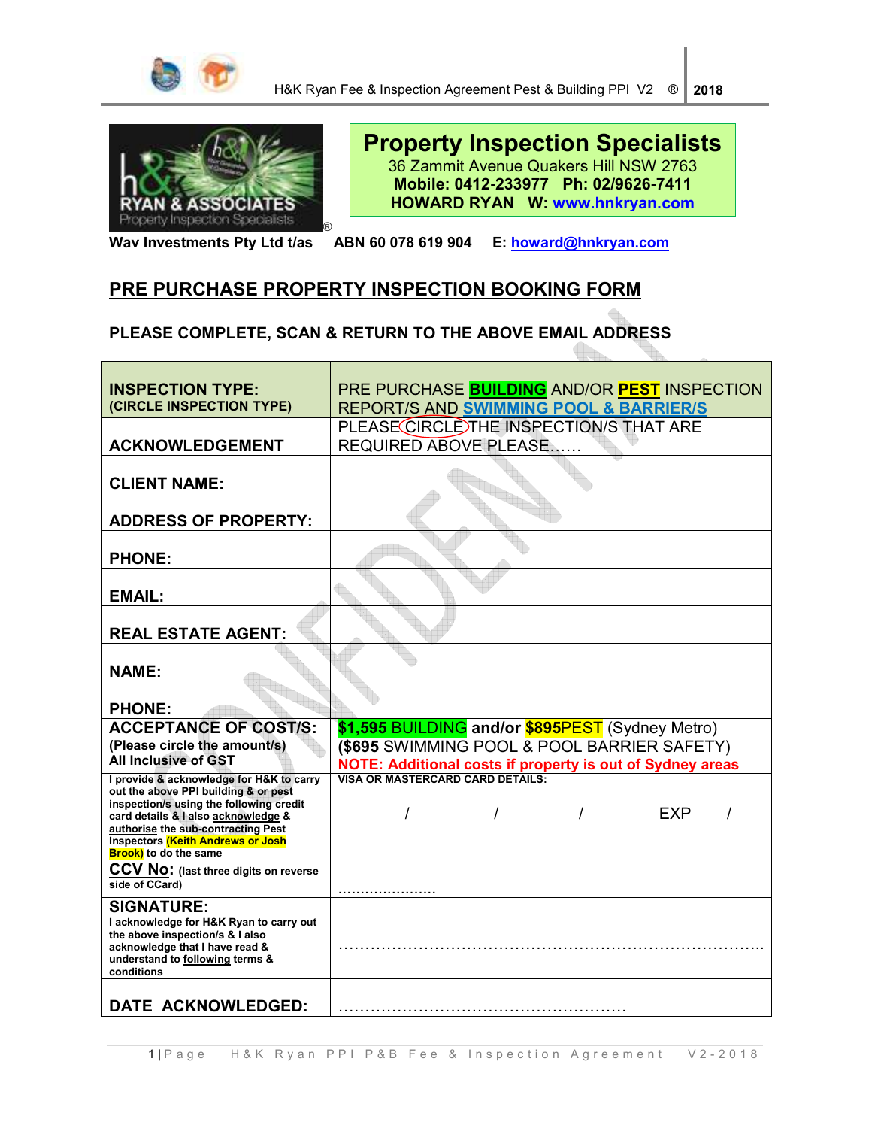



# **Property Inspection Specialists** 36 Zammit Avenue Quakers Hill NSW 2763 **Mobile: 0412-233977 Ph: 02/9626-7411 HOWARD RYAN W: www.hnkryan.com**

**Wav Investments Pty Ltd t/as ABN 60 078 619 904 E: howard@hnkryan.com**

# **PRE PURCHASE PROPERTY INSPECTION BOOKING FORM**

**PLEASE COMPLETE, SCAN & RETURN TO THE ABOVE EMAIL ADDRESS** 

| <b>INSPECTION TYPE:</b>                                                          | PRE PURCHASE <b>BUILDING</b> AND/OR <b>PEST</b> INSPECTION       |  |  |
|----------------------------------------------------------------------------------|------------------------------------------------------------------|--|--|
| (CIRCLE INSPECTION TYPE)                                                         | REPORT/S AND SWIMMING POOL & BARRIER/S                           |  |  |
|                                                                                  | PLEASE CIRCLE THE INSPECTION/S THAT ARE                          |  |  |
| <b>ACKNOWLEDGEMENT</b>                                                           | <b>REQUIRED ABOVE PLEASE</b>                                     |  |  |
|                                                                                  |                                                                  |  |  |
| <b>CLIENT NAME:</b>                                                              |                                                                  |  |  |
|                                                                                  |                                                                  |  |  |
| <b>ADDRESS OF PROPERTY:</b>                                                      |                                                                  |  |  |
|                                                                                  |                                                                  |  |  |
| <b>PHONE:</b>                                                                    |                                                                  |  |  |
|                                                                                  |                                                                  |  |  |
| <b>EMAIL:</b>                                                                    |                                                                  |  |  |
|                                                                                  |                                                                  |  |  |
| <b>REAL ESTATE AGENT:</b>                                                        |                                                                  |  |  |
|                                                                                  |                                                                  |  |  |
| <b>NAME:</b>                                                                     |                                                                  |  |  |
|                                                                                  |                                                                  |  |  |
| <b>PHONE:</b>                                                                    |                                                                  |  |  |
| <b>ACCEPTANCE OF COST/S:</b>                                                     | \$1,595 BUILDING and/or \$895PEST (Sydney Metro)                 |  |  |
| (Please circle the amount/s)                                                     | (\$695 SWIMMING POOL & POOL BARRIER SAFETY)                      |  |  |
| <b>All Inclusive of GST</b>                                                      | <b>NOTE: Additional costs if property is out of Sydney areas</b> |  |  |
| I provide & acknowledge for H&K to carry<br>out the above PPI building & or pest | VISA OR MASTERCARD CARD DETAILS:                                 |  |  |
| inspection/s using the following credit                                          | <b>FXP</b>                                                       |  |  |
| card details & I also acknowledge &<br>authorise the sub-contracting Pest        |                                                                  |  |  |
| <b>Inspectors (Keith Andrews or Josh</b>                                         |                                                                  |  |  |
| <b>Brook)</b> to do the same                                                     |                                                                  |  |  |
| CCV NO: (last three digits on reverse<br>side of CCard)                          |                                                                  |  |  |
| <b>SIGNATURE:</b>                                                                |                                                                  |  |  |
| I acknowledge for H&K Ryan to carry out                                          |                                                                  |  |  |
| the above inspection/s & I also                                                  |                                                                  |  |  |
| acknowledge that I have read &<br>understand to following terms &                |                                                                  |  |  |
| conditions                                                                       |                                                                  |  |  |
|                                                                                  |                                                                  |  |  |
| DATE ACKNOWLEDGED:                                                               |                                                                  |  |  |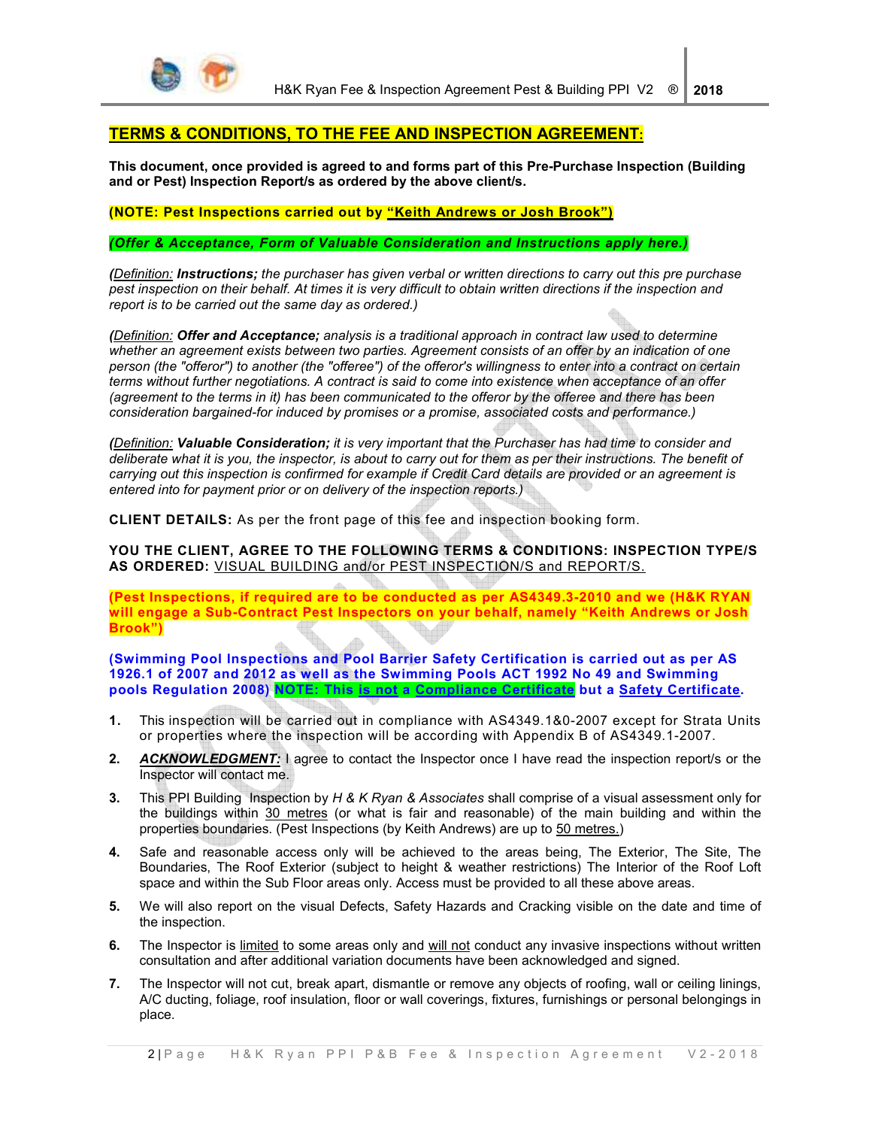

# **TERMS & CONDITIONS, TO THE FEE AND INSPECTION AGREEMENT:**

**This document, once provided is agreed to and forms part of this Pre-Purchase Inspection (Building and or Pest) Inspection Report/s as ordered by the above client/s.** 

# **(NOTE: Pest Inspections carried out by "Keith Andrews or Josh Brook")**

*(Offer & Acceptance, Form of Valuable Consideration and Instructions apply here.)* 

*(Definition: Instructions; the purchaser has given verbal or written directions to carry out this pre purchase pest inspection on their behalf. At times it is very difficult to obtain written directions if the inspection and report is to be carried out the same day as ordered.)* 

*(Definition: Offer and Acceptance; analysis is a traditional approach in contract law used to determine whether an agreement exists between two parties. Agreement consists of an offer by an indication of one person (the "offeror") to another (the "offeree") of the offeror's willingness to enter into a contract on certain terms without further negotiations. A contract is said to come into existence when acceptance of an offer (agreement to the terms in it) has been communicated to the offeror by the offeree and there has been consideration bargained-for induced by promises or a promise, associated costs and performance.)* 

*(Definition: Valuable Consideration; it is very important that the Purchaser has had time to consider and deliberate what it is you, the inspector, is about to carry out for them as per their instructions. The benefit of carrying out this inspection is confirmed for example if Credit Card details are provided or an agreement is entered into for payment prior or on delivery of the inspection reports.)* 

**CLIENT DETAILS:** As per the front page of this fee and inspection booking form.

### **YOU THE CLIENT, AGREE TO THE FOLLOWING TERMS & CONDITIONS: INSPECTION TYPE/S AS ORDERED:** VISUAL BUILDING and/or PEST INSPECTION/S and REPORT/S.

**(Pest Inspections, if required are to be conducted as per AS4349.3-2010 and we (H&K RYAN will engage a Sub-Contract Pest Inspectors on your behalf, namely "Keith Andrews or Josh Brook")** 

**(Swimming Pool Inspections and Pool Barrier Safety Certification is carried out as per AS 1926.1 of 2007 and 2012 as well as the Swimming Pools ACT 1992 No 49 and Swimming pools Regulation 2008) NOTE: This is not a Compliance Certificate but a Safety Certificate.** 

- **1.** This inspection will be carried out in compliance with AS4349.1&0-2007 except for Strata Units or properties where the inspection will be according with Appendix B of AS4349.1-2007.
- **2.** *ACKNOWLEDGMENT:* I agree to contact the Inspector once I have read the inspection report/s or the Inspector will contact me.
- **3.** This PPI Building Inspection by *H & K Ryan & Associates* shall comprise of a visual assessment only for the buildings within 30 metres (or what is fair and reasonable) of the main building and within the properties boundaries. (Pest Inspections (by Keith Andrews) are up to 50 metres.)
- **4.** Safe and reasonable access only will be achieved to the areas being, The Exterior, The Site, The Boundaries, The Roof Exterior (subject to height & weather restrictions) The Interior of the Roof Loft space and within the Sub Floor areas only. Access must be provided to all these above areas.
- **5.** We will also report on the visual Defects, Safety Hazards and Cracking visible on the date and time of the inspection.
- **6.** The Inspector is limited to some areas only and will not conduct any invasive inspections without written consultation and after additional variation documents have been acknowledged and signed.
- **7.** The Inspector will not cut, break apart, dismantle or remove any objects of roofing, wall or ceiling linings, A/C ducting, foliage, roof insulation, floor or wall coverings, fixtures, furnishings or personal belongings in place.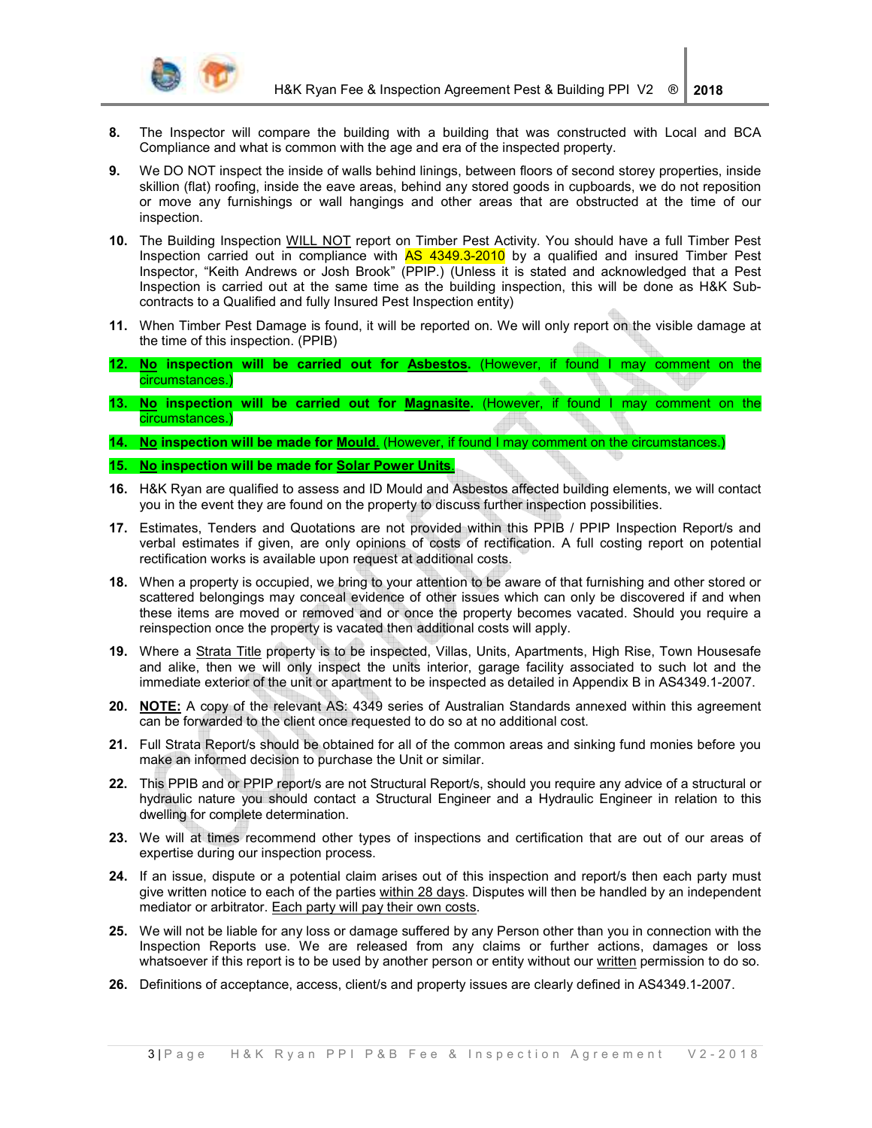

- **8.** The Inspector will compare the building with a building that was constructed with Local and BCA Compliance and what is common with the age and era of the inspected property.
- **9.** We DO NOT inspect the inside of walls behind linings, between floors of second storey properties, inside skillion (flat) roofing, inside the eave areas, behind any stored goods in cupboards, we do not reposition or move any furnishings or wall hangings and other areas that are obstructed at the time of our inspection.
- **10.** The Building Inspection WILL NOT report on Timber Pest Activity. You should have a full Timber Pest Inspection carried out in compliance with AS 4349.3-2010 by a qualified and insured Timber Pest Inspector, "Keith Andrews or Josh Brook" (PPIP.) (Unless it is stated and acknowledged that a Pest Inspection is carried out at the same time as the building inspection, this will be done as H&K Subcontracts to a Qualified and fully Insured Pest Inspection entity)
- **11.** When Timber Pest Damage is found, it will be reported on. We will only report on the visible damage at the time of this inspection. (PPIB)
- **12. No inspection will be carried out for Asbestos.** (However, if found I may comment on the circumstances.)
- **13. No inspection will be carried out for Magnasite.** (However, if found I may comment on the circumstances.)
- **14. No inspection will be made for Mould**. (However, if found I may comment on the circumstances.)
- **15. No inspection will be made for Solar Power Units**.
- **16.** H&K Ryan are qualified to assess and ID Mould and Asbestos affected building elements, we will contact you in the event they are found on the property to discuss further inspection possibilities.
- **17.** Estimates, Tenders and Quotations are not provided within this PPIB / PPIP Inspection Report/s and verbal estimates if given, are only opinions of costs of rectification. A full costing report on potential rectification works is available upon request at additional costs.
- **18.** When a property is occupied, we bring to your attention to be aware of that furnishing and other stored or scattered belongings may conceal evidence of other issues which can only be discovered if and when these items are moved or removed and or once the property becomes vacated. Should you require a reinspection once the property is vacated then additional costs will apply.
- **19.** Where a Strata Title property is to be inspected, Villas, Units, Apartments, High Rise, Town Housesafe and alike, then we will only inspect the units interior, garage facility associated to such lot and the immediate exterior of the unit or apartment to be inspected as detailed in Appendix B in AS4349.1-2007.
- **20. NOTE:** A copy of the relevant AS: 4349 series of Australian Standards annexed within this agreement can be forwarded to the client once requested to do so at no additional cost.
- **21.** Full Strata Report/s should be obtained for all of the common areas and sinking fund monies before you make an informed decision to purchase the Unit or similar.
- **22.** This PPIB and or PPIP report/s are not Structural Report/s, should you require any advice of a structural or hydraulic nature you should contact a Structural Engineer and a Hydraulic Engineer in relation to this dwelling for complete determination.
- **23.** We will at times recommend other types of inspections and certification that are out of our areas of expertise during our inspection process.
- **24.** If an issue, dispute or a potential claim arises out of this inspection and report/s then each party must give written notice to each of the parties within 28 days. Disputes will then be handled by an independent mediator or arbitrator. Each party will pay their own costs.
- **25.** We will not be liable for any loss or damage suffered by any Person other than you in connection with the Inspection Reports use. We are released from any claims or further actions, damages or loss whatsoever if this report is to be used by another person or entity without our written permission to do so.
- **26.** Definitions of acceptance, access, client/s and property issues are clearly defined in AS4349.1-2007.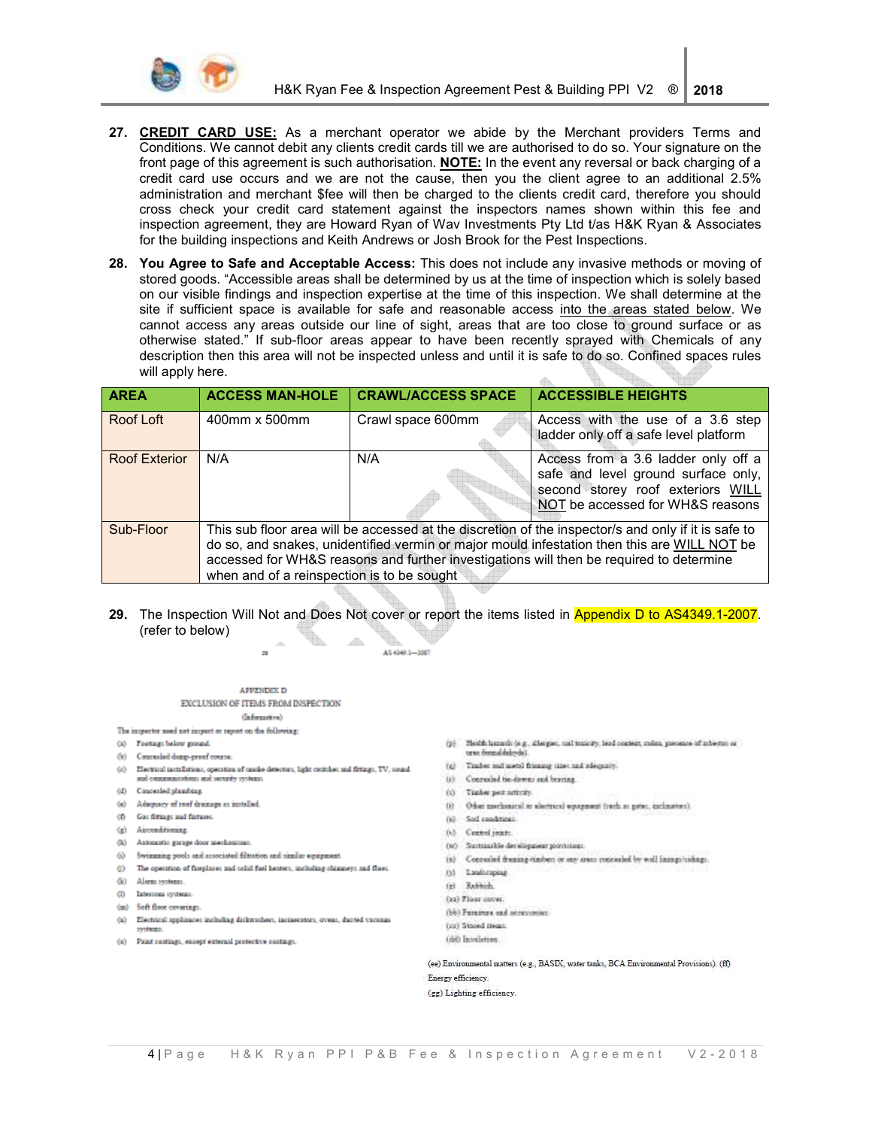

- 27. CREDIT CARD USE: As a merchant operator we abide by the Merchant providers Terms and Conditions. We cannot debit any clients credit cards till we are authorised to do so. Your signature on the front page of this agreement is such authorisation. NOTE: In the event any reversal or back charging of a credit card use occurs and we are not the cause, then you the client agree to an additional 2.5% administration and merchant \$fee will then be charged to the clients credit card, therefore you should cross check your credit card statement against the inspectors names shown within this fee and inspection agreement, they are Howard Ryan of Wav Investments Pty Ltd t/as H&K Ryan & Associates for the building inspections and Keith Andrews or Josh Brook for the Pest Inspections.
- 28. You Agree to Safe and Acceptable Access: This does not include any invasive methods or moving of stored goods. "Accessible areas shall be determined by us at the time of inspection which is solely based on our visible findings and inspection expertise at the time of this inspection. We shall determine at the site if sufficient space is available for safe and reasonable access into the areas stated below. We cannot access any areas outside our line of sight, areas that are too close to ground surface or as otherwise stated." If sub-floor areas appear to have been recently sprayed with Chemicals of any description then this area will not be inspected unless and until it is safe to do so. Confined spaces rules will apply here.  $\triangle$

| <b>AREA</b>   | <b>ACCESS MAN-HOLE</b>                                                                                                                                                                                                                                                                                                                      | <b>CRAWL/ACCESS SPACE</b> | <b>ACCESSIBLE HEIGHTS</b>                                                                                                                           |
|---------------|---------------------------------------------------------------------------------------------------------------------------------------------------------------------------------------------------------------------------------------------------------------------------------------------------------------------------------------------|---------------------------|-----------------------------------------------------------------------------------------------------------------------------------------------------|
| Roof Loft     | 400mm x 500mm                                                                                                                                                                                                                                                                                                                               | Crawl space 600mm         | Access with the use of a 3.6 step<br>ladder only off a safe level platform                                                                          |
| Roof Exterior | N/A                                                                                                                                                                                                                                                                                                                                         | N/A                       | Access from a 3.6 ladder only off a<br>safe and level ground surface only,<br>second storey roof exteriors WILL<br>NOT be accessed for WH&S reasons |
| Sub-Floor     | This sub floor area will be accessed at the discretion of the inspector/s and only if it is safe to<br>do so, and snakes, unidentified vermin or major mould infestation then this are WILL NOT be<br>accessed for WH&S reasons and further investigations will then be required to determine<br>when and of a reinspection is to be sought |                           |                                                                                                                                                     |

29. The Inspection Will Not and Does Not cover or report the items listed in Appendix D to AS4349.1-2007. (refer to below)  $\sqrt{2}$ 

AS 4949.3-3087

#### APPENDEX D EXCLUSION OF ITEMS FROM INSPECTION

 $\overline{\phantom{a}}$ 

- (Information)
- The impactor need not impact or report on the following:
- (a) Festings below ground.
- (b) Concealed damp-proof course.
- (c) Electrical installations, operation of smoke detectors, light cuttobes and fittings, TV, sound and communications and security systems.
- (d) Concealed plumbing.
- (e) Adequacy of roof drainage as installed.
- (f) Ga: fitting: and fixtures.
- (g) Airconditioning
- (h) Automatic garage door mechani
- (i) Swimming pools and associated filtration and similar equipment.
- () The operation of fireplaces and solid fuel heaters, including chimneys and flues.
- (k) Alarm systems.
- (i) Intercom systems
- (m) Soft floor coverings.
- 
- (a) Electrical applicaces including dishwashers, incluerators, overs, duoted vocuum pypheters.
- (c) Paint contings, except external protective contings.
- $\langle p \rangle$  . Simila hazards (e.g., allergies, call tenirity, lead context, radius, presence of subsets) or tres demainbénde?
- (c) Tracket and metal framing time, and adequates,
- (r) Concealed tie-downs and bescans.
- (c) Timber pest activity.
- (i) Other mechanical to alactrical equipment (reach in gates, inclination).
- (a) Sod conditions.
- (c) Control reints
- (w) Suntainlife development provisions:
- (s) Concealed framing-timbers or any areas concealed by well imings/sidings.
- 
- (b) Landscaping
- fel Rebbish
- fas) Floor cover.
- (bb) Faramers and occurrence:
- (c) Stood Heat.
- (66) Involution

(ee) Environmental matters (e.g., BASIX, water tanks, BCA Environmental Provisions). (ff) Energy efficiency

(gg) Lighting efficiency.